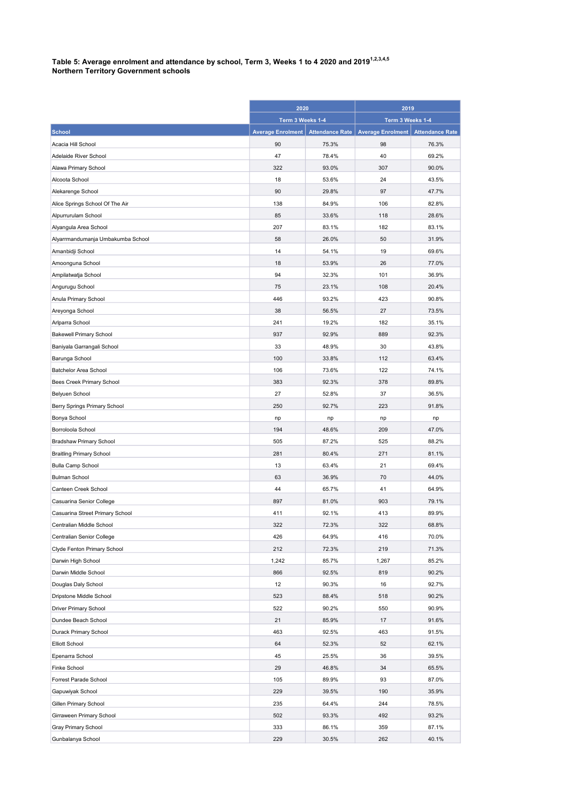## Table 5: Average enrolment and attendance by school, Term 3, Weeks 1 to 4 2020 and 2019 $^{\rm 1.2,3.4,5}$ Northern Territory Government schools

|                                   | 2020                     |                        | 2019                     |                        |
|-----------------------------------|--------------------------|------------------------|--------------------------|------------------------|
|                                   | Term 3 Weeks 1-4         |                        | Term 3 Weeks 1-4         |                        |
| <b>School</b>                     | <b>Average Enrolment</b> | <b>Attendance Rate</b> | <b>Average Enrolment</b> | <b>Attendance Rate</b> |
| Acacia Hill School                | 90                       | 75.3%                  | 98                       | 76.3%                  |
| Adelaide River School             | 47                       | 78.4%                  | 40                       | 69.2%                  |
| Alawa Primary School              | 322                      | 93.0%                  | 307                      | 90.0%                  |
| Alcoota School                    | 18                       | 53.6%                  | 24                       | 43.5%                  |
| Alekarenge School                 | 90                       | 29.8%                  | 97                       | 47.7%                  |
| Alice Springs School Of The Air   | 138                      | 84.9%                  | 106                      | 82.8%                  |
| Alpurrurulam School               | 85                       | 33.6%                  | 118                      | 28.6%                  |
| Alyangula Area School             | 207                      | 83.1%                  | 182                      | 83.1%                  |
| Alyarrmandumanja Umbakumba School | 58                       | 26.0%                  | 50                       | 31.9%                  |
| Amanbidji School                  | 14                       | 54.1%                  | 19                       | 69.6%                  |
| Amoonguna School                  | 18                       | 53.9%                  | 26                       | 77.0%                  |
| Ampilatwatja School               | 94                       | 32.3%                  | 101                      | 36.9%                  |
| Angurugu School                   | 75                       | 23.1%                  | 108                      | 20.4%                  |
| Anula Primary School              | 446                      | 93.2%                  | 423                      | 90.8%                  |
| Areyonga School                   | 38                       | 56.5%                  | 27                       | 73.5%                  |
| Arlparra School                   | 241                      | 19.2%                  | 182                      | 35.1%                  |
| <b>Bakewell Primary School</b>    | 937                      | 92.9%                  | 889                      | 92.3%                  |
| Baniyala Garrangali School        | 33                       | 48.9%                  | 30                       | 43.8%                  |
| Barunga School                    | 100                      | 33.8%                  | 112                      | 63.4%                  |
| Batchelor Area School             | 106                      | 73.6%                  | 122                      | 74.1%                  |
| Bees Creek Primary School         | 383                      | 92.3%                  | 378                      | 89.8%                  |
| Belyuen School                    | 27                       | 52.8%                  | 37                       | 36.5%                  |
| Berry Springs Primary School      | 250                      | 92.7%                  | 223                      | 91.8%                  |
| Bonya School                      | np                       | np                     | np                       | np                     |
| Borroloola School                 | 194                      | 48.6%                  | 209                      | 47.0%                  |
| Bradshaw Primary School           | 505                      | 87.2%                  | 525                      | 88.2%                  |
| <b>Braitling Primary School</b>   | 281                      | 80.4%                  | 271                      | 81.1%                  |
| <b>Bulla Camp School</b>          | 13                       | 63.4%                  | 21                       | 69.4%                  |
| <b>Bulman School</b>              | 63                       | 36.9%                  | 70                       | 44.0%                  |
| Canteen Creek School              | 44                       | 65.7%                  | 41                       | 64.9%                  |
| Casuarina Senior College          | 897                      | 81.0%                  | 903                      | 79.1%                  |
| Casuarina Street Primary School   | 411                      | 92.1%                  | 413                      | 89.9%                  |
| Centralian Middle School          | 322                      | 72.3%                  | 322                      | 68.8%                  |
| Centralian Senior College         | 426                      | 64.9%                  | 416                      | 70.0%                  |
| Clyde Fenton Primary School       | 212                      | 72.3%                  | 219                      | 71.3%                  |
| Darwin High School                | 1,242                    | 85.7%                  | 1,267                    | 85.2%                  |
| Darwin Middle School              | 866                      | 92.5%                  | 819                      | 90.2%                  |
| Douglas Daly School               | 12                       | 90.3%                  | 16                       | 92.7%                  |
| Dripstone Middle School           | 523                      | 88.4%                  | 518                      | 90.2%                  |
| Driver Primary School             | 522                      | 90.2%                  | 550                      | 90.9%                  |
| Dundee Beach School               | 21                       | 85.9%                  | 17                       | 91.6%                  |
| Durack Primary School             | 463                      | 92.5%                  | 463                      | 91.5%                  |
| <b>Elliott School</b>             | 64                       | 52.3%                  | 52                       | 62.1%                  |
| Epenarra School                   | 45                       | 25.5%                  | 36                       | 39.5%                  |
| Finke School                      | 29                       | 46.8%                  | 34                       | 65.5%                  |
| Forrest Parade School             | 105                      | 89.9%                  | 93                       | 87.0%                  |
| Gapuwiyak School                  | 229                      | 39.5%                  | 190                      | 35.9%                  |
| Gillen Primary School             | 235                      | 64.4%                  | 244                      | 78.5%                  |
| Girraween Primary School          | 502                      | 93.3%                  | 492                      | 93.2%                  |
| Gray Primary School               | 333                      | 86.1%                  | 359                      | 87.1%                  |
| Gunbalanya School                 | 229                      | 30.5%                  | 262                      | 40.1%                  |
|                                   |                          |                        |                          |                        |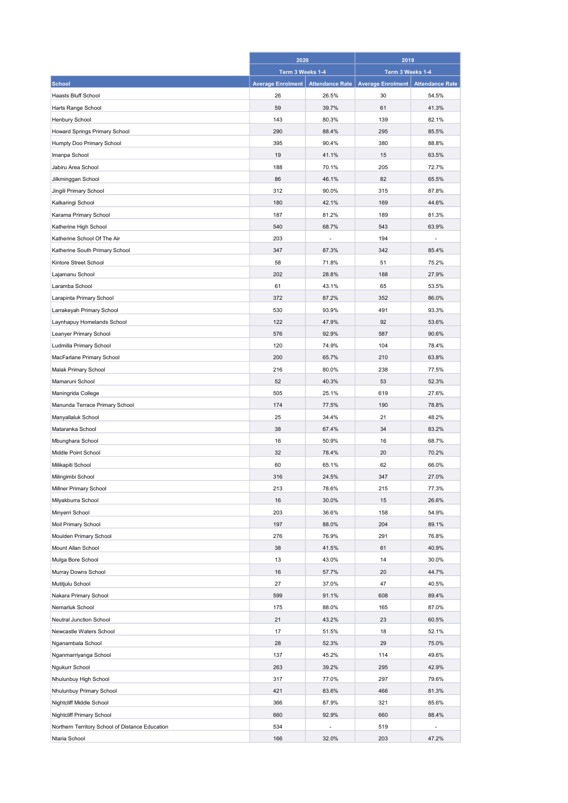|                                                 | 2020<br>Term 3 Weeks 1-4 |                        | 2019<br>Term 3 Weeks 1-4 |                        |
|-------------------------------------------------|--------------------------|------------------------|--------------------------|------------------------|
|                                                 |                          |                        |                          |                        |
| <b>School</b>                                   | <b>Average Enrolment</b> | <b>Attendance Rate</b> | <b>Average Enrolment</b> | <b>Attendance Rate</b> |
| Haasts Bluff School                             | 26                       | 26.5%                  | 30                       | 54.5%                  |
| Harts Range School                              | 59                       | 39.7%                  | 61                       | 41.3%                  |
| Henbury School                                  | 143                      | 80.3%                  | 139                      | 82.1%                  |
| Howard Springs Primary School                   | 290                      | 88.4%                  | 295                      | 85.5%                  |
| Humpty Doo Primary School                       | 395                      | 90.4%                  | 380                      | 88.8%                  |
| Imanpa School                                   | 19                       | 41.1%                  | 15                       | 63.5%                  |
| Jabiru Area School                              | 188                      | 70.1%                  | 205                      | 72.7%                  |
| Jilkminggan School                              | 86                       | 46.1%                  | 82                       | 65.5%                  |
| Jingili Primary School                          | 312                      | 90.0%                  | 315                      | 87.8%                  |
| Kalkaringi School                               | 180                      | 42.1%                  | 169                      | 44.6%                  |
| Karama Primary School                           | 187                      | 81.2%                  | 189                      | 81.3%                  |
| Katherine High School                           | 540                      | 68.7%                  | 543                      | 63.9%                  |
| Katherine School Of The Air                     | 203                      |                        | 194                      |                        |
| Katherine South Primary School                  | 347                      | 87.3%                  | 342                      | 85.4%                  |
| Kintore Street School                           | 58                       | 71.8%                  | 51                       | 75.2%                  |
| Lajamanu School                                 | 202                      | 28.8%                  | 188                      | 27.9%                  |
| Laramba School                                  | 61                       | 43.1%                  | 65                       | 53.5%                  |
| Larapinta Primary School                        | 372                      | 87.2%                  | 352                      | 86.0%                  |
| Larrakeyah Primary School                       | 530                      | 93.9%                  | 491                      | 93.3%                  |
| Laynhapuy Homelands School                      | 122                      | 47.9%                  | 92                       | 53.6%                  |
| Leanyer Primary School                          | 576                      | 92.9%                  | 587                      | 90.6%                  |
|                                                 | 120                      | 74.9%                  | 104                      | 78.4%                  |
| Ludmilla Primary School                         | 200                      | 65.7%                  | 210                      | 63.8%                  |
| MacFarlane Primary School                       |                          |                        |                          |                        |
| Malak Primary School                            | 216                      | 80.0%                  | 238                      | 77.5%                  |
| Mamaruni School                                 | 52                       | 40.3%                  | 53                       | 52.3%                  |
| Maningrida College                              | 505                      | 25.1%                  | 619                      | 27.6%                  |
| Manunda Terrace Primary School                  | 174                      | 77.5%                  | 190                      | 78.8%                  |
| Manyallaluk School                              | 25                       | 34.4%                  | 21                       | 48.2%                  |
| Mataranka School                                | 38                       | 67.4%                  | 34                       | 83.2%                  |
| Mbunghara School                                | 16                       | 50.9%                  | 16                       | 68.7%                  |
| Middle Point School                             | 32                       | 78.4%                  | 20                       | 70.2%                  |
| Milikapiti School                               | 60                       | 65.1%                  | 62                       | 66.0%                  |
| Milingimbi School                               | 316                      | 24.5%                  | 347                      | 27.0%                  |
| Millner Primary School                          | 213                      | 78.6%                  | 215                      | 77.3%                  |
| Milyakburra School                              | 16                       | 30.0%                  | 15                       | 26.6%                  |
| Minyerri School                                 | 203                      | 36.6%                  | 158                      | 54.9%                  |
| Moil Primary School                             | 197                      | 88.0%                  | 204                      | 89.1%                  |
| Moulden Primary School                          | 276                      | 76.9%                  | 291                      | 76.8%                  |
| Mount Allan School                              | 38                       | 41.5%                  | 61                       | 40.9%                  |
| Mulga Bore School                               | 13                       | 43.0%                  | 14                       | 30.0%                  |
| Murray Downs School                             | 16                       | 57.7%                  | 20                       | 44.7%                  |
| Mutitjulu School                                | 27                       | 37.0%                  | 47                       | 40.5%                  |
| Nakara Primary School                           | 599                      | 91.1%                  | 608                      | 89.4%                  |
| Nemarluk School                                 | 175                      | 88.0%                  | 165                      | 87.0%                  |
| Neutral Junction School                         | 21                       | 43.2%                  | 23                       | 60.5%                  |
| Newcastle Waters School                         | 17                       | 51.5%                  | 18                       | 52.1%                  |
| Nganambala School                               | 28                       | 52.3%                  | 29                       | 75.0%                  |
| Nganmarriyanga School                           | 137                      | 45.2%                  | 114                      | 49.6%                  |
| Ngukurr School                                  | 263                      | 39.2%                  | 295                      | 42.9%                  |
| Nhulunbuy High School                           | 317                      | 77.0%                  | 297                      | 79.6%                  |
| Nhulunbuy Primary School                        | 421                      | 83.6%                  | 466                      | 81.3%                  |
| Nightcliff Middle School                        | 366                      | 87.9%                  | 321                      | 85.6%                  |
| Nightcliff Primary School                       | 660                      | 92.9%                  | 660                      | 88.4%                  |
| Northern Territory School of Distance Education | 534                      | ٠                      | 519                      |                        |
| Ntaria School                                   | 166                      | 32.0%                  | 203                      | 47.2%                  |